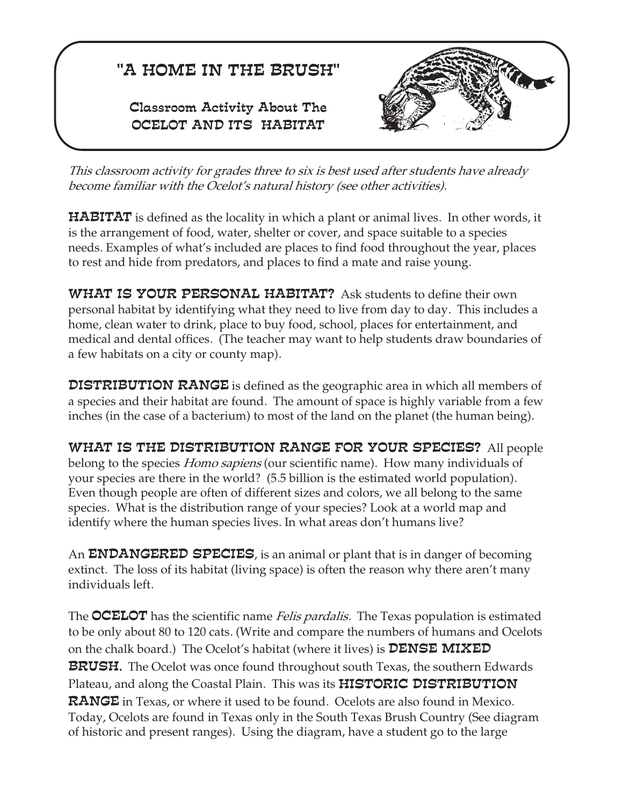# "A HOME IN THE BRUSH"

Classroom Activity About The OCELOT AND ITS HABITAT



*This classroom activity for grades three to six is best used after students have already become familiar with the Ocelot's natural history (see other activities).*

 ${\tt HABITAT}$  is defined as the locality in which a plant or animal lives. In other words, it is the arrangement of food, water, shelter or cover, and space suitable to a species needs. Examples of what's included are places to find food throughout the year, places to rest and hide from predators, and places to find a mate and raise young.

**WHAT IS YOUR PERSONAL HABITAT?** Ask students to define their own personal habitat by identifying what they need to live from day to day. This includes a home, clean water to drink, place to buy food, school, places for entertainment, and medical and dental offices. (The teacher may want to help students draw boundaries of a few habitats on a city or county map).

DISTRIBUTION RANGE is defined as the geographic area in which all members of a species and their habitat are found. The amount of space is highly variable from a few inches (in the case of a bacterium) to most of the land on the planet (the human being).

belong to the species *Homo sapiens* (our scientific name). How many individuals of WHAT IS THE DISTRIBUTION RANGE FOR YOUR SPECIES? All people your species are there in the world? (5.5 billion is the estimated world population). Even though people are often of different sizes and colors, we all belong to the same species. What is the distribution range of your species? Look at a world map and identify where the human species lives. In what areas don't humans live?

An **ENDANGERED SPECIES**, is an animal or plant that is in danger of becoming extinct. The loss of its habitat (living space) is often the reason why there aren't many individuals left.

The **OCELOT** has the scientific name *Felis pardalis.* The Texas population is estimated **BRUSH.** The Ocelot was once found throughout south Texas, the southern Edwards on the chalk board.) The Ocelot's habitat (where it lives) is  $\mathtt{DENSE\;MIXED}$ Plateau, and along the Coastal Plain. This was its  ${\tt HISTORIC\ DISTRIBUTION}$ RANGE in Texas, or where it used to be found. Ocelots are also found in Mexico. to be only about 80 to 120 cats. (Write and compare the numbers of humans and Ocelots Today, Ocelots are found in Texas only in the South Texas Brush Country (See diagram of historic and present ranges). Using the diagram, have a student go to the large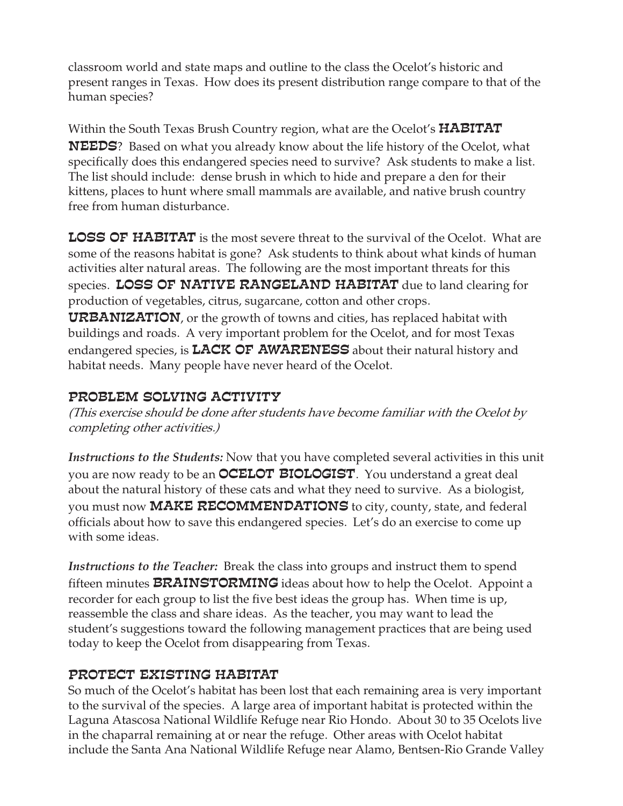classroom world and state maps and outline to the class the Ocelot's historic and present ranges in Texas. How does its present distribution range compare to that of the human species?

Within the South Texas Brush Country region*,* what are the Ocelot's **HABITAT NEEDS**? Based on what you already know about the life history of the Ocelot, what specifically does this endangered species need to survive? Ask students to make a list. The list should include: dense brush in which to hide and prepare a den for their kittens, places to hunt where small mammals are available, and native brush country free from human disturbance.

**LOSS OF HABITAT** is the most severe threat to the survival of the Ocelot. What are some of the reasons habitat is gone? Ask students to think about what kinds of human activities alter natural areas. The following are the most important threats for this species. LOSS OF NATIVE RANGELAND HABITAT due to land clearing for production of vegetables, citrus, sugarcane, cotton and other crops.

 $\mathtt{URBANIZATION}$ , or the growth of towns and cities, has replaced habitat with buildings and roads. A very important problem for the Ocelot, and for most Texas endangered species, is  $_{\rm LACK}$  OF AWARENESS about their natural history and habitat needs. Many people have never heard of the Ocelot.

### PROBLEM SOLVING ACTIVITY

*(This exercise should be done after students have become familiar with the Ocelot by completing other activities.)*

*Instructions to the Students:* Now that you have completed several activities in this unit you are now ready to be an **OCELOT BIOLOGIST**. You understand a great deal about the natural history of these cats and what they need to survive. As a biologist, you must now **MAKE RECOMMENDATIONS** to city, county, state, and federal officials about how to save this endangered species. Let's do an exercise to come up with some ideas.

*Instructions to the Teacher:* Break the class into groups and instruct them to spend fifteen minutes  $\mathtt{BRAINSTORMING}$  ideas about how to help the Ocelot. Appoint a recorder for each group to list the five best ideas the group has. When time is up, reassemble the class and share ideas. As the teacher, you may want to lead the student's suggestions toward the following management practices that are being used today to keep the Ocelot from disappearing from Texas.

### PROTECT EXISTING HABITAT

So much of the Ocelot's habitat has been lost that each remaining area is very important to the survival of the species. A large area of important habitat is protected within the Laguna Atascosa National Wildlife Refuge near Rio Hondo. About 30 to 35 Ocelots live in the chaparral remaining at or near the refuge. Other areas with Ocelot habitat include the Santa Ana National Wildlife Refuge near Alamo, Bentsen-Rio Grande Valley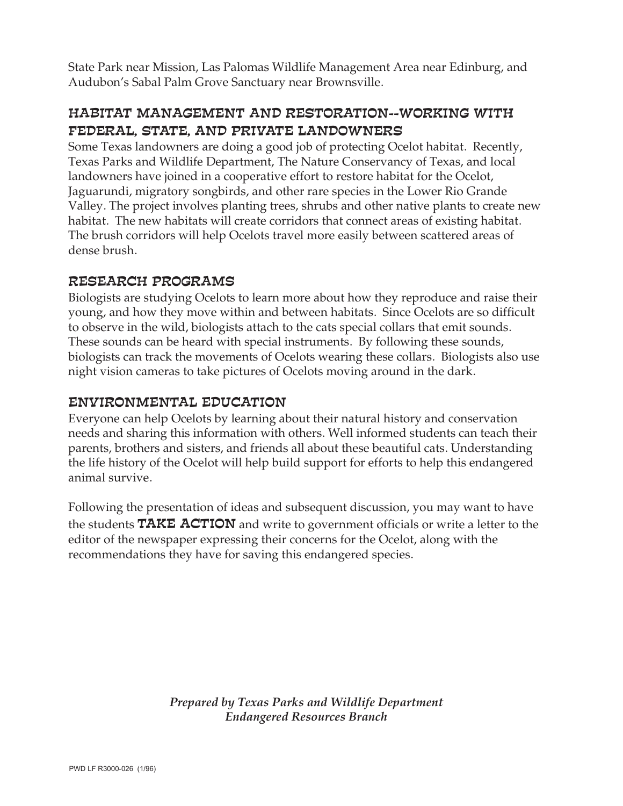State Park near Mission, Las Palomas Wildlife Management Area near Edinburg, and Audubon's Sabal Palm Grove Sanctuary near Brownsville.

### HABITAT MANAGEMENT AND RESTORATION--WORKING WITH FEDERAL, STATE, AND PRIVATE LANDOWNERS

Some Texas landowners are doing a good job of protecting Ocelot habitat. Recently, Texas Parks and Wildlife Department, The Nature Conservancy of Texas, and local landowners have joined in a cooperative effort to restore habitat for the Ocelot, Jaguarundi, migratory songbirds, and other rare species in the Lower Rio Grande Valley. The project involves planting trees, shrubs and other native plants to create new habitat. The new habitats will create corridors that connect areas of existing habitat. The brush corridors will help Ocelots travel more easily between scattered areas of dense brush.

### RESEARCH PROGRAMS

Biologists are studying Ocelots to learn more about how they reproduce and raise their young, and how they move within and between habitats. Since Ocelots are so difficult to observe in the wild, biologists attach to the cats special collars that emit sounds. These sounds can be heard with special instruments. By following these sounds, biologists can track the movements of Ocelots wearing these collars. Biologists also use night vision cameras to take pictures of Ocelots moving around in the dark.

### ENVIRONMENTAL EDUCATION

Everyone can help Ocelots by learning about their natural history and conservation needs and sharing this information with others. Well informed students can teach their parents, brothers and sisters, and friends all about these beautiful cats. Understanding the life history of the Ocelot will help build support for efforts to help this endangered animal survive.

Following the presentation of ideas and subsequent discussion, you may want to have the students  $\mathtt{TAKE}$  ACTION and write to government officials or write a letter to the editor of the newspaper expressing their concerns for the Ocelot, along with the recommendations they have for saving this endangered species.

> *Prepared by Texas Parks and Wildlife Department Endangered Resources Branch*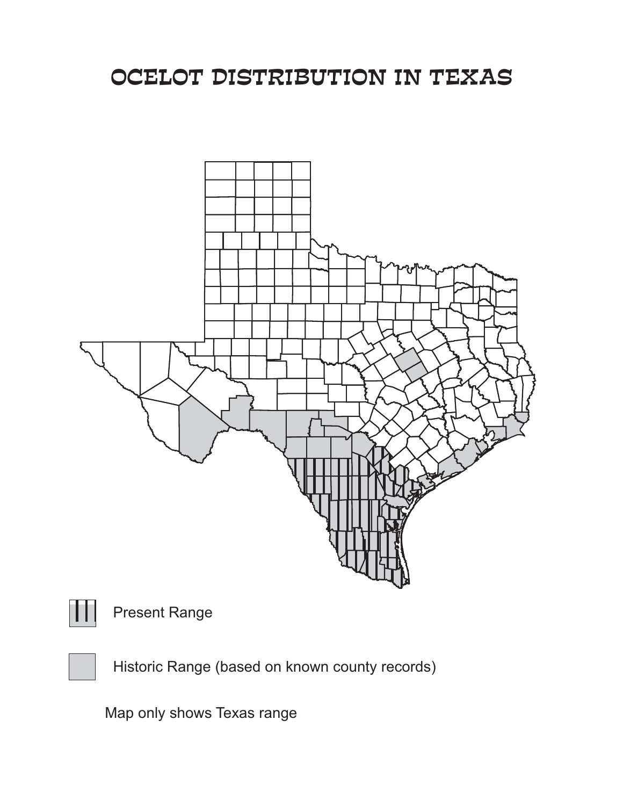# OCELOT DISTRIBUTION IN TEXAS





### Present Range

Historic Range (based on known county records)

Map only shows Texas range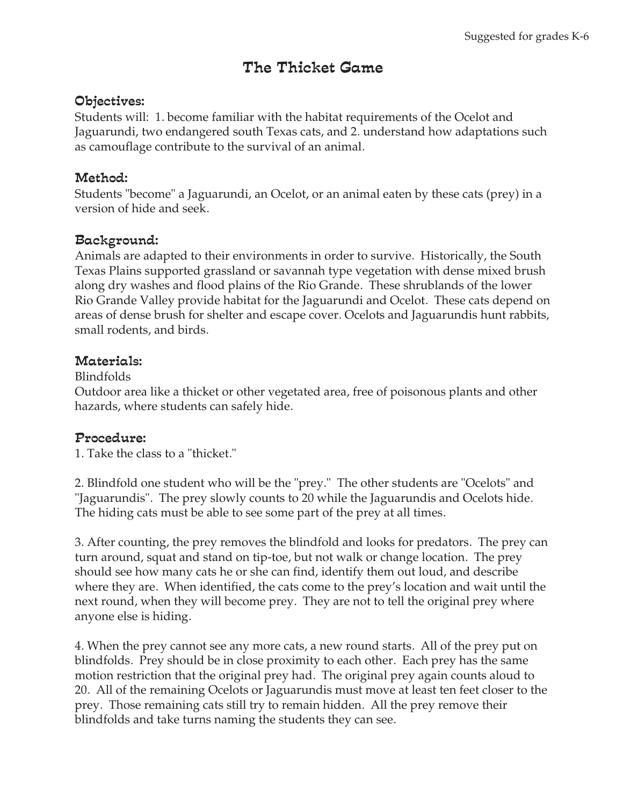### The Thicket Game

### Objectives:

Students will: 1. become familiar with the habitat requirements of the Ocelot and Jaguarundi, two endangered south Texas cats, and 2. understand how adaptations such as camouflage contribute to the survival of an animal.

### Method:

Students "become" a Jaguarundi, an Ocelot, or an animal eaten by these cats (prey) in a version of hide and seek.

### Background:

Animals are adapted to their environments in order to survive. Historically, the South Texas Plains supported grassland or savannah type vegetation with dense mixed brush along dry washes and flood plains of the Rio Grande. These shrublands of the lower Rio Grande Valley provide habitat for the Jaguarundi and Ocelot. These cats depend on areas of dense brush for shelter and escape cover. Ocelots and Jaguarundis hunt rabbits, small rodents, and birds.

#### Materials:

#### Blindfolds

Outdoor area like a thicket or other vegetated area, free of poisonous plants and other hazards, where students can safely hide.

#### Procedure:

1. Take the class to a "thicket."

2. Blindfold one student who will be the "prey." The other students are "Ocelots" and "Jaguarundis". The prey slowly counts to 20 while the Jaguarundis and Ocelots hide. The hiding cats must be able to see some part of the prey at all times.

3. After counting, the prey removes the blindfold and looks for predators. The prey can turn around, squat and stand on tip-toe, but not walk or change location. The prey should see how many cats he or she can find, identify them out loud, and describe where they are. When identified, the cats come to the prey's location and wait until the next round, when they will become prey. They are not to tell the original prey where anyone else is hiding.

4. When the prey cannot see any more cats, a new round starts. All of the prey put on blindfolds. Prey should be in close proximity to each other. Each prey has the same motion restriction that the original prey had. The original prey again counts aloud to 20. All of the remaining Ocelots or Jaguarundis must move at least ten feet closer to the prey. Those remaining cats still try to remain hidden. All the prey remove their blindfolds and take turns naming the students they can see.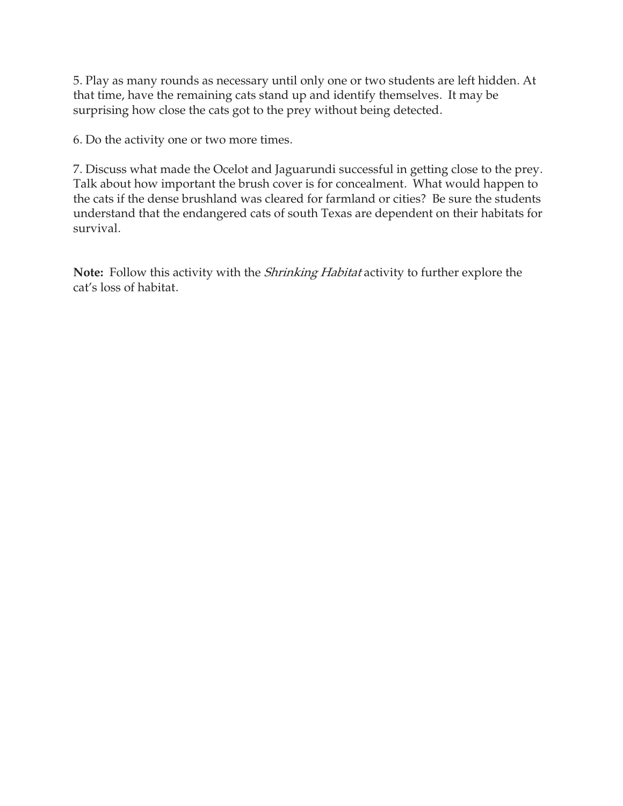5. Play as many rounds as necessary until only one or two students are left hidden. At that time, have the remaining cats stand up and identify themselves. It may be surprising how close the cats got to the prey without being detected.

6. Do the activity one or two more times.

7. Discuss what made the Ocelot and Jaguarundi successful in getting close to the prey. Talk about how important the brush cover is for concealment. What would happen to the cats if the dense brushland was cleared for farmland or cities? Be sure the students understand that the endangered cats of south Texas are dependent on their habitats for survival.

**Note:** Follow this activity with the *Shrinking Habitat* activity to further explore the cat's loss of habitat.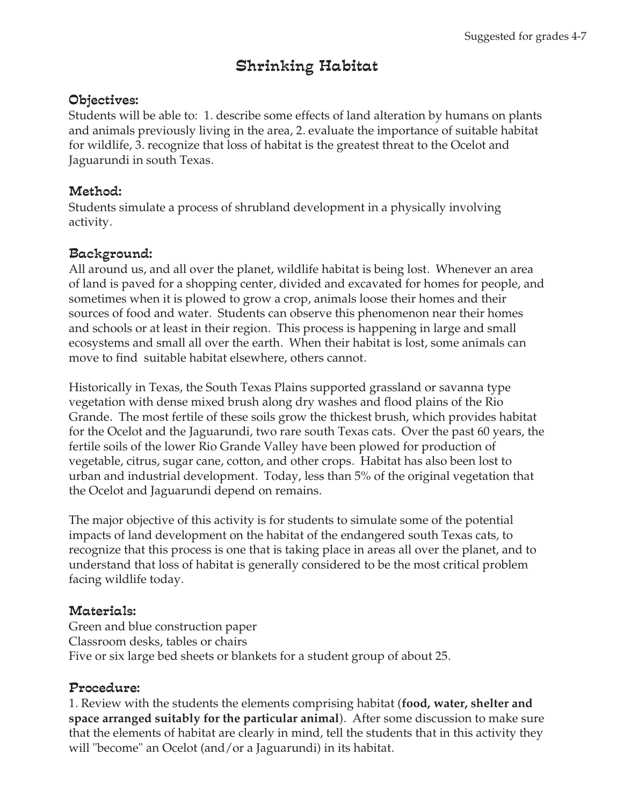### Shrinking Habitat

### Objectives:

Students will be able to: 1. describe some effects of land alteration by humans on plants and animals previously living in the area, 2. evaluate the importance of suitable habitat for wildlife, 3. recognize that loss of habitat is the greatest threat to the Ocelot and Jaguarundi in south Texas.

### Method:

Students simulate a process of shrubland development in a physically involving activity.

### Background:

All around us, and all over the planet, wildlife habitat is being lost. Whenever an area of land is paved for a shopping center, divided and excavated for homes for people, and sometimes when it is plowed to grow a crop, animals loose their homes and their sources of food and water. Students can observe this phenomenon near their homes and schools or at least in their region. This process is happening in large and small ecosystems and small all over the earth. When their habitat is lost, some animals can move to find suitable habitat elsewhere, others cannot.

Historically in Texas, the South Texas Plains supported grassland or savanna type vegetation with dense mixed brush along dry washes and flood plains of the Rio Grande. The most fertile of these soils grow the thickest brush, which provides habitat for the Ocelot and the Jaguarundi, two rare south Texas cats. Over the past 60 years, the fertile soils of the lower Rio Grande Valley have been plowed for production of vegetable, citrus, sugar cane, cotton, and other crops. Habitat has also been lost to urban and industrial development. Today, less than 5% of the original vegetation that the Ocelot and Jaguarundi depend on remains.

The major objective of this activity is for students to simulate some of the potential impacts of land development on the habitat of the endangered south Texas cats, to recognize that this process is one that is taking place in areas all over the planet, and to understand that loss of habitat is generally considered to be the most critical problem facing wildlife today.

### Materials:

Green and blue construction paper Classroom desks, tables or chairs Five or six large bed sheets or blankets for a student group of about 25.

### Procedure:

1. Review with the students the elements comprising habitat ( **food, water, shelter and space arranged suitably for the particular animal**). After some discussion to make sure that the elements of habitat are clearly in mind, tell the students that in this activity they will "become" an Ocelot (and/or a Jaguarundi) in its habitat.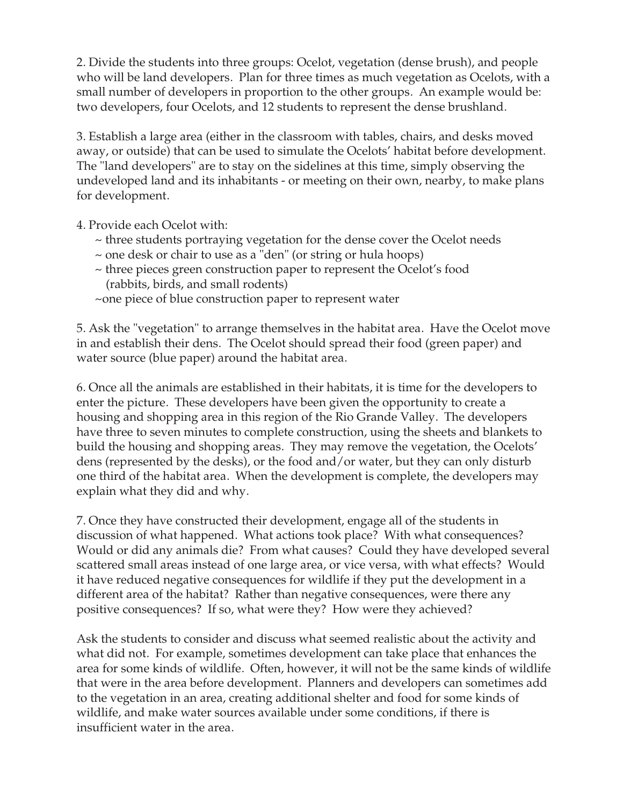2. Divide the students into three groups: Ocelot, vegetation (dense brush), and people who will be land developers. Plan for three times as much vegetation as Ocelots, with a small number of developers in proportion to the other groups. An example would be: two developers, four Ocelots, and 12 students to represent the dense brushland.

3. Establish a large area (either in the classroom with tables, chairs, and desks moved away, or outside) that can be used to simulate the Ocelots' habitat before development. The "land developers" are to stay on the sidelines at this time, simply observing the undeveloped land and its inhabitants - or meeting on their own, nearby, to make plans for development.

4. Provide each Ocelot with:

- ~ three students portraying vegetation for the dense cover the Ocelot needs
- ~ one desk or chair to use as a "den" (or string or hula hoops)
- ~ three pieces green construction paper to represent the Ocelot's food (rabbits, birds, and small rodents)
- ~one piece of blue construction paper to represent water

5. Ask the "vegetation" to arrange themselves in the habitat area. Have the Ocelot move in and establish their dens. The Ocelot should spread their food (green paper) and water source (blue paper) around the habitat area.

6. Once all the animals are established in their habitats, it is time for the developers to enter the picture. These developers have been given the opportunity to create a housing and shopping area in this region of the Rio Grande Valley. The developers have three to seven minutes to complete construction, using the sheets and blankets to build the housing and shopping areas. They may remove the vegetation, the Ocelots' dens (represented by the desks), or the food and/or water, but they can only disturb one third of the habitat area. When the development is complete, the developers may explain what they did and why.

7. Once they have constructed their development, engage all of the students in discussion of what happened. What actions took place? With what consequences? Would or did any animals die? From what causes? Could they have developed several scattered small areas instead of one large area, or vice versa, with what effects? Would it have reduced negative consequences for wildlife if they put the development in a different area of the habitat? Rather than negative consequences, were there any positive consequences? If so, what were they? How were they achieved?

Ask the students to consider and discuss what seemed realistic about the activity and what did not. For example, sometimes development can take place that enhances the area for some kinds of wildlife. Often, however, it will not be the same kinds of wildlife that were in the area before development. Planners and developers can sometimes add to the vegetation in an area, creating additional shelter and food for some kinds of wildlife, and make water sources available under some conditions, if there is insufficient water in the area.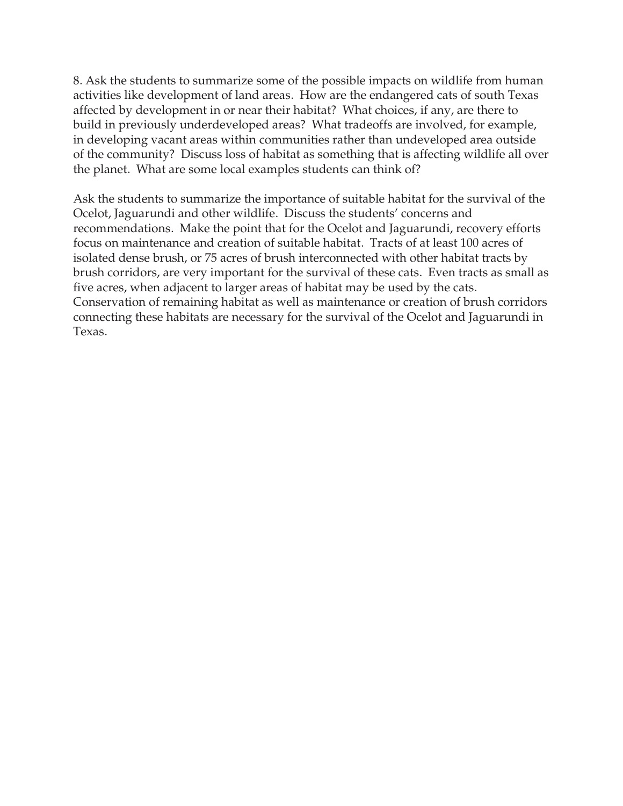8. Ask the students to summarize some of the possible impacts on wildlife from human activities like development of land areas. How are the endangered cats of south Texas affected by development in or near their habitat? What choices, if any, are there to build in previously underdeveloped areas? What tradeoffs are involved, for example, in developing vacant areas within communities rather than undeveloped area outside of the community? Discuss loss of habitat as something that is affecting wildlife all over the planet. What are some local examples students can think of?

Ask the students to summarize the importance of suitable habitat for the survival of the Ocelot, Jaguarundi and other wildlife. Discuss the students' concerns and recommendations. Make the point that for the Ocelot and Jaguarundi, recovery efforts focus on maintenance and creation of suitable habitat. Tracts of at least 100 acres of isolated dense brush, or 75 acres of brush interconnected with other habitat tracts by brush corridors, are very important for the survival of these cats. Even tracts as small as five acres, when adjacent to larger areas of habitat may be used by the cats. Conservation of remaining habitat as well as maintenance or creation of brush corridors connecting these habitats are necessary for the survival of the Ocelot and Jaguarundi in Texas.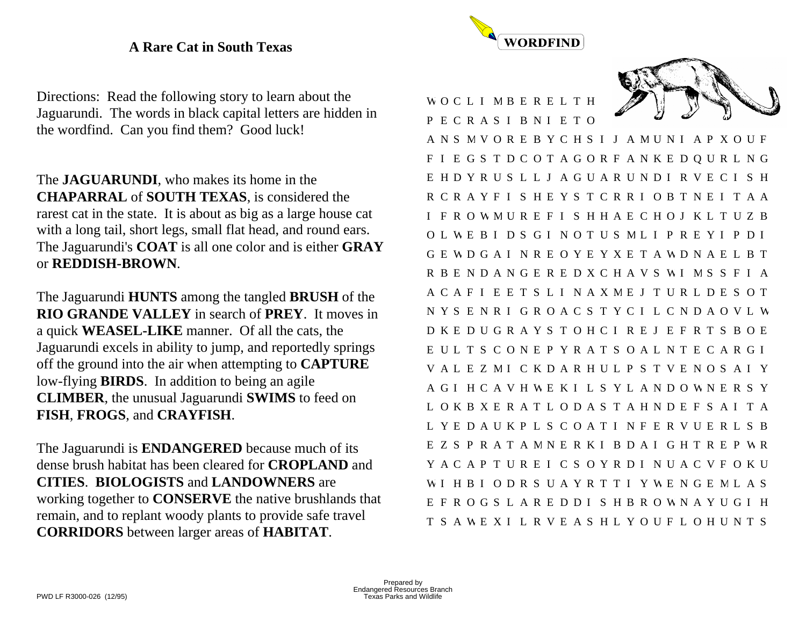### **A Rare Cat in South Texas**

Directions: Read the following story to learn about the Jaguarundi. The words in black capital letters are hidden in the wordfind. Can you find them? Good luck!

The **JAGUARUNDI**, who makes its home in the **CHAPARRAL** of **SOUTH TEXAS**, is considered the rarest cat in the state. It is about as big as a large house cat with a long tail, short legs, small flat head, and round ears. The Jaguarundi's **COAT** is all one color and is either **GRAY** or **REDDISH-BROWN**.

The Jaguarundi **HUNTS** among the tangled **BRUSH** of the **RIO GRANDE VALLEY** in search of **PREY**. It moves in a quick **WEASEL-LIKE** manner. Of all the cats, the Jaguarundi excels in ability to jump, and reportedly springs off the ground into the air when attempting to **CAPTURE** low-flying **BIRDS**. In addition to being an agile **CLIMBER**, the unusual Jaguarundi **SWIMS** to feed on **FISH**, **FROGS**, and **CRAYFISH**.

The Jaguarundi is **ENDANGERED** because much of its dense brush habitat has been cleared for **CROPLAND** and **CITIES**. **BIOLOGISTS** and **LANDOWNERS** are working together to **CONSERVE** the native brushlands that remain, and to replant woody plants to provide safe travel **CORRIDORS** between larger areas of **HABITAT**.



W O C L I M B E R E L T H P E C R A S I B N I E T O

A N S M V O R E B Y C H S I J A M U N I A P X O U F F I E G S T D C O T A G O R F A N K E D Q U R L N G E H D Y R U S L L J A G U A R U N D I R V E C I S H R C R A Y F I S H E Y S T C R R I O B T N E I T A A I F R O W M U R E F I S H H A E C H O J K L T U Z B O L W E B I D S G I N O T U S M L I P R E Y I P D I G E W D G A I N R E O Y E Y X E T A W D N A E L B T R B E N D A N G E R E D X C H A V S W I M S S F I A A C A F I E E T S L I N A X M E J T U R L D E S O T N Y S E N R I G R O A C S T Y C I L C N D A O V L WD K E D U G R A Y S T O H C I R E J E F R T S B O E E U L T S C O N E P Y R A T S O A L N T E C A R G I V A L E Z M I C K D A R H U L P S T V E N O S A I Y A G I H C A V H W E K I L S Y L A N D O W N E R S Y L O K B X E R A T L O D A S T A H N D E F S A I T A L Y E D A U K P L S C O A T I N F E R V U E R L S B E Z S P R A T A M N E R K I B D A I G H T R E P W R Y A C A P T U R E I C S O Y R D I N U A C V F O K U W I H B I O D R S U A Y R T T I Y W E N G E M L A S E F R O G S L A R E D D I S H B R O W N A Y U G I H T S A W E X I L R V E A S H L Y O U F L O H U N T S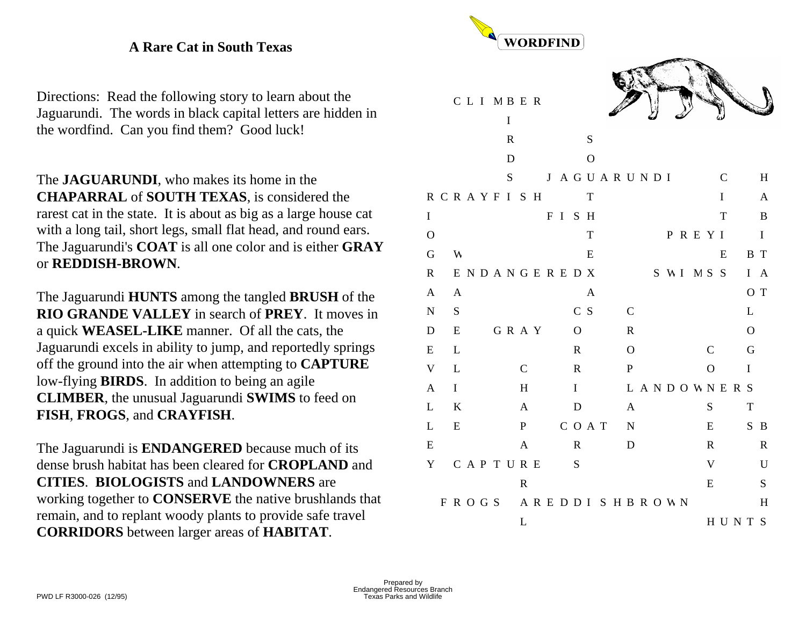### **A Rare Cat in South Texas**

Directions: Read the following story to learn about the Jaguarundi. The words in black capital letters are hidden in the wordfind. Can you find them? Good luck!

The **JAGUARUNDI**, who makes its home in the **CHAPARRAL** of **SOUTH TEXAS**, is considered the rarest cat in the state. It is about as big as a large house cat with a long tail, short legs, small flat head, and round ears. The Jaguarundi's **COAT** is all one color and is either **GRAY** or **REDDISH-BROWN**.

The Jaguarundi **HUNTS** among the tangled **BRUSH** of the **RIO GRANDE VALLEY** in search of **PREY**. It moves in a quick **WEASEL-LIKE** manner. Of all the cats, the Jaguarundi excels in ability to jump, and reportedly springs off the ground into the air when attempting to **CAPTURE** low-flying **BIRDS**. In addition to being an agile **CLIMBER**, the unusual Jaguarundi **SWIMS** to feed on **FISH**, **FROGS**, and **CRAYFISH**.

The Jaguarundi is **ENDANGERED** because much of its dense brush habitat has been cleared for **CROPLAND** and **CITIES**. **BIOLOGISTS** and **LANDOWNERS** are working together to **CONSERVE** the native brushlands that remain, and to replant woody plants to provide safe travel **CORRIDORS** between larger areas of **HABITAT**.

|              | WORDFIND |              |                     |  |         |             |              |  |  |      |                |              |  |                     |                |  |  |                   |              |                            |       |              |                   |
|--------------|----------|--------------|---------------------|--|---------|-------------|--------------|--|--|------|----------------|--------------|--|---------------------|----------------|--|--|-------------------|--------------|----------------------------|-------|--------------|-------------------|
|              |          |              | CLIMBER             |  |         | $\bf I$     |              |  |  |      |                |              |  |                     |                |  |  |                   |              |                            |       |              |                   |
|              |          |              |                     |  |         | $\mathbf R$ |              |  |  |      |                | ${\bf S}$    |  |                     |                |  |  |                   |              |                            |       |              |                   |
|              |          |              |                     |  |         | D           |              |  |  |      |                | $\mathbf O$  |  |                     |                |  |  |                   |              |                            |       |              |                   |
|              |          |              |                     |  |         | S           |              |  |  |      |                |              |  | J A G U A R U N D I |                |  |  |                   |              | $\mathbf C$<br>$\mathbf I$ |       |              | H                 |
| $\mathbf I$  |          |              | <b>RCRAYFISH</b>    |  |         |             |              |  |  | FISH |                | T            |  |                     |                |  |  |                   |              | T                          |       |              | $\mathbf{A}$<br>B |
| $\mathbf O$  |          |              |                     |  |         |             |              |  |  |      |                | $\mathbf T$  |  |                     |                |  |  | PREYI             |              |                            |       |              | $\mathbf I$       |
| G            |          | W            |                     |  |         |             |              |  |  |      |                | E            |  |                     |                |  |  |                   |              | E                          |       | B T          |                   |
| $\mathbf R$  |          |              | ENDANGEREDX         |  |         |             |              |  |  |      |                |              |  |                     |                |  |  | S W I M S S       |              |                            |       |              | I A               |
| $\mathbf{A}$ |          | $\mathbf{A}$ |                     |  |         |             |              |  |  |      |                | $\mathbf{A}$ |  |                     |                |  |  |                   |              |                            |       |              | O T               |
| ${\bf N}$    |          | S            |                     |  |         |             |              |  |  |      | C S            |              |  |                     | $\mathcal{C}$  |  |  |                   |              |                            |       | L            |                   |
| ${\bf D}$    |          | E            |                     |  | G R A Y |             |              |  |  |      | $\overline{O}$ |              |  |                     | ${\bf R}$      |  |  |                   |              |                            |       | $\mathbf{O}$ |                   |
| E            |          | L            |                     |  |         |             |              |  |  |      | $\mathbf R$    |              |  |                     | $\overline{O}$ |  |  |                   | $\mathsf{C}$ |                            |       | $\mathbf G$  |                   |
| $\mathbf V$  |          | L            |                     |  |         |             | $\mathbf C$  |  |  |      | $\mathbf R$    |              |  |                     | $\, {\bf P}$   |  |  |                   | $\mathbf O$  |                            |       | $\mathbf I$  |                   |
| $\mathbf{A}$ |          | $\bf I$      |                     |  |         |             | H            |  |  |      | $\mathbf I$    |              |  |                     |                |  |  | <b>LANDOWNERS</b> |              |                            |       |              |                   |
| L            |          | K            |                     |  |         |             | $\mathbf{A}$ |  |  |      | ${\bf D}$      |              |  |                     | A              |  |  |                   | S            |                            |       | $\mathbf T$  |                   |
| L            |          | E            |                     |  |         |             | P            |  |  |      | COAT           |              |  |                     | N              |  |  |                   | E            |                            |       |              | S B               |
| ${\bf E}$    |          |              |                     |  |         |             | $\mathbf A$  |  |  |      | $\mathbf R$    |              |  |                     | D              |  |  |                   | $\mathbf R$  |                            |       |              | $\mathbf R$       |
| Y            |          |              | CAPTURE             |  |         |             |              |  |  |      | S              |              |  |                     |                |  |  |                   | $\mathbf V$  |                            |       |              | $\mathbf U$       |
|              |          |              |                     |  |         |             | $\mathbf R$  |  |  |      |                |              |  |                     |                |  |  |                   | E            |                            |       |              | S                 |
|              |          |              | FROGS AREDDISHBROWN |  |         |             |              |  |  |      |                |              |  |                     |                |  |  |                   |              |                            |       |              | H                 |
|              |          |              |                     |  |         |             | L            |  |  |      |                |              |  |                     |                |  |  |                   |              |                            | HUNTS |              |                   |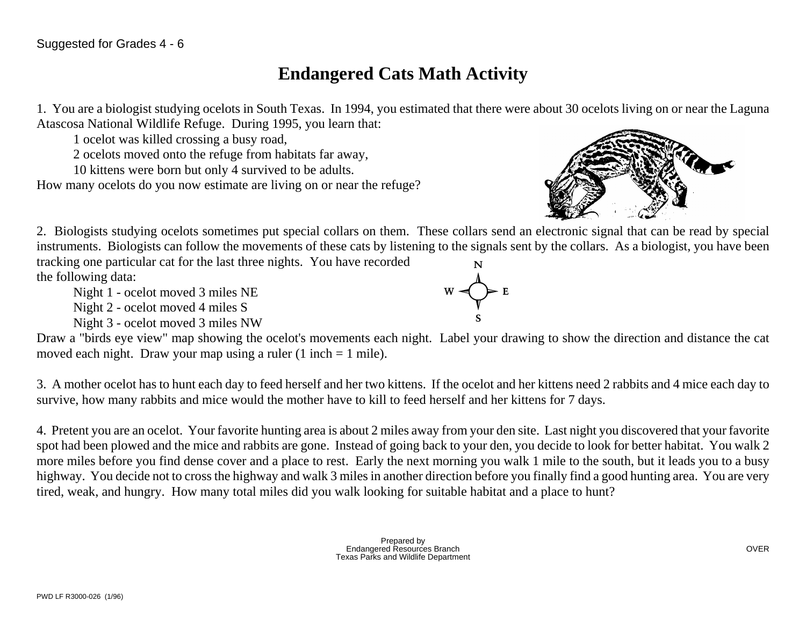# **Endangered Cats Math Activity**

1. You are a biologist studying ocelots in South Texas. In 1994, you estimated that there were about 30 ocelots living on or near the Laguna Atascosa National Wildlife Refuge. During 1995, you learn that:

1 ocelot was killed crossing a busy road,

2 ocelots moved onto the refuge from habitats far away,

10 kittens were born but only 4 survived to be adults.

How many ocelots do you now estimate are living on or near the refuge?



2. Biologists studying ocelots sometimes put special collars on them. These collars send an electronic signal that can be read by special instruments. Biologists can follow the movements of these cats by listening to the signals sent by the collars. As a biologist, you have been

tracking one particular cat for the last three nights. You have recorded the following data:

Night 1 - ocelot moved 3 miles NE

Night 2 - ocelot moved 4 miles S

Night 3 - ocelot moved 3 miles NW

Draw a "birds eye view" map showing the ocelot's movements each night. Label your drawing to show the direction and distance the cat moved each night. Draw your map using a ruler  $(1 \text{ inch} = 1 \text{ mile})$ .

3. A mother ocelot has to hunt each day to feed herself and her two kittens. If the ocelot and her kittens need 2 rabbits and 4 mice each day to survive, how many rabbits and mice would the mother have to kill to feed herself and her kittens for 7 days.

4. Pretent you are an ocelot. Your favorite hunting area is about 2 miles away from your den site. Last night you discovered that your favorite spot had been plowed and the mice and rabbits are gone. Instead of going back to your den, you decide to look for better habitat. You walk 2 more miles before you find dense cover and a place to rest. Early the next morning you walk 1 mile to the south, but it leads you to a busy highway. You decide not to cross the highway and walk 3 miles in another direction before you finally find a good hunting area. You are very tired, weak, and hungry. How many total miles did you walk looking for suitable habitat and a place to hunt?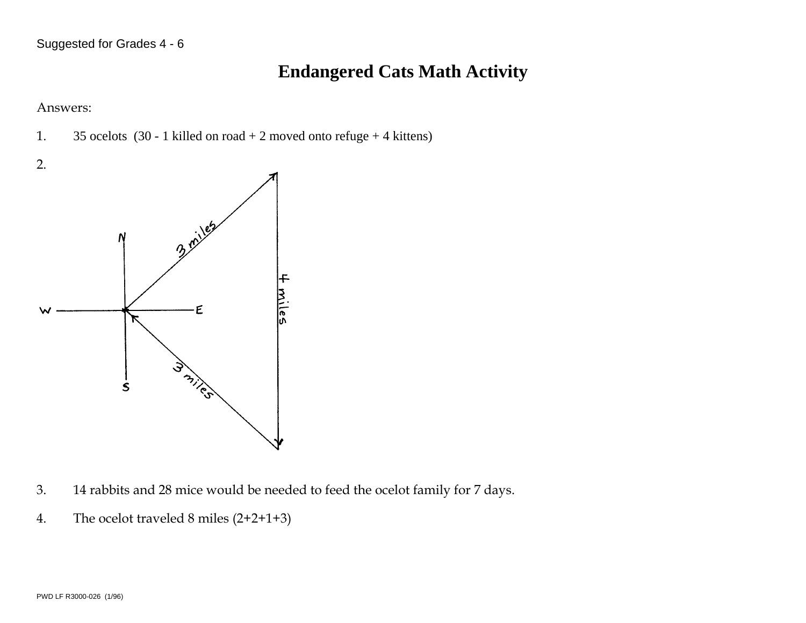### **Endangered Cats Math Activity**

Answers:

1. 35 ocelots (30 - 1 killed on road  $+ 2$  moved onto refuge  $+ 4$  kittens)



- 3. 14 rabbits and 28 mice would be needed to feed the ocelot family for 7 days.
- 4. The ocelot traveled 8 miles (2+2+1+3)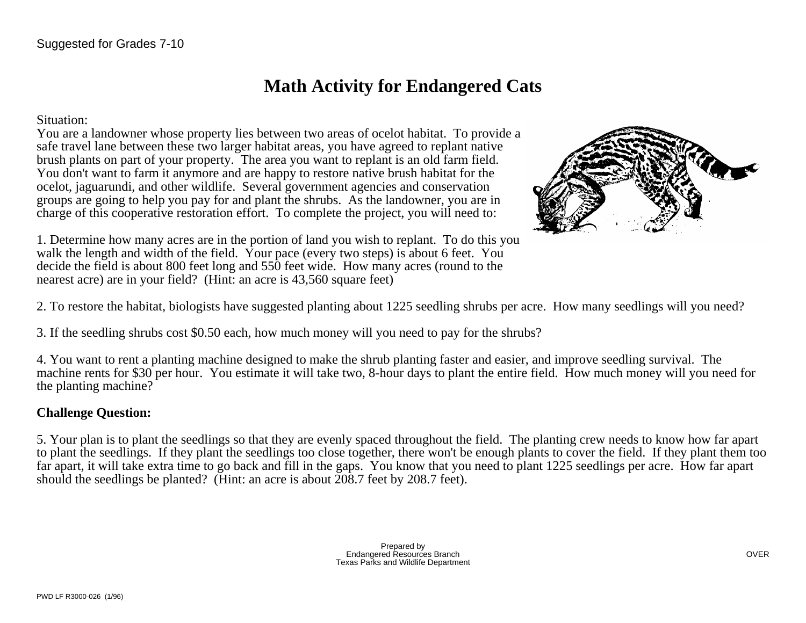### **Math Activity for Endangered Cats**

Situation:

You are a landowner whose property lies between two areas of ocelot habitat. To provide a safe travel lane between these two larger habitat areas, you have agreed to replant native brush plants on part of your property. The area you want to replant is an old farm field. You don't want to farm it anymore and are happy to restore native brush habitat for the ocelot, jaguarundi, and other wildlife. Several government agencies and conservation groups are going to help you pay for and plant the shrubs. As the landowner, you are in charge of this cooperative restoration effort. To complete the project, you will need to:



1. Determine how many acres are in the portion of land you wish to replant. To do this you walk the length and width of the field. Your pace (every two steps) is about 6 feet. You decide the field is about 800 feet long and 550 feet wide. How many acres (round to the nearest acre) are in your field? (Hint: an acre is 43,560 square feet)

2. To restore the habitat, biologists have suggested planting about 1225 seedling shrubs per acre. How many seedlings will you need?

3. If the seedling shrubs cost \$0.50 each, how much money will you need to pay for the shrubs?

4. You want to rent a planting machine designed to make the shrub planting faster and easier, and improve seedling survival. The machine rents for \$30 per hour. You estimate it will take two, 8-hour days to plant the entire field. How much money will you need for the planting machine?

### **Challenge Question:**

5. Your plan is to plant the seedlings so that they are evenly spaced throughout the field. The planting crew needs to know how far apart to plant the seedlings. If they plant the seedlings too close together, there won't be enough plants to cover the field. If they plant them too far apart, it will take extra time to go back and fill in the gaps. You know that you need to plant 1225 seedlings per acre. How far apart should the seedlings be planted? (Hint: an acre is about  $208.7$  feet by 208.7 feet).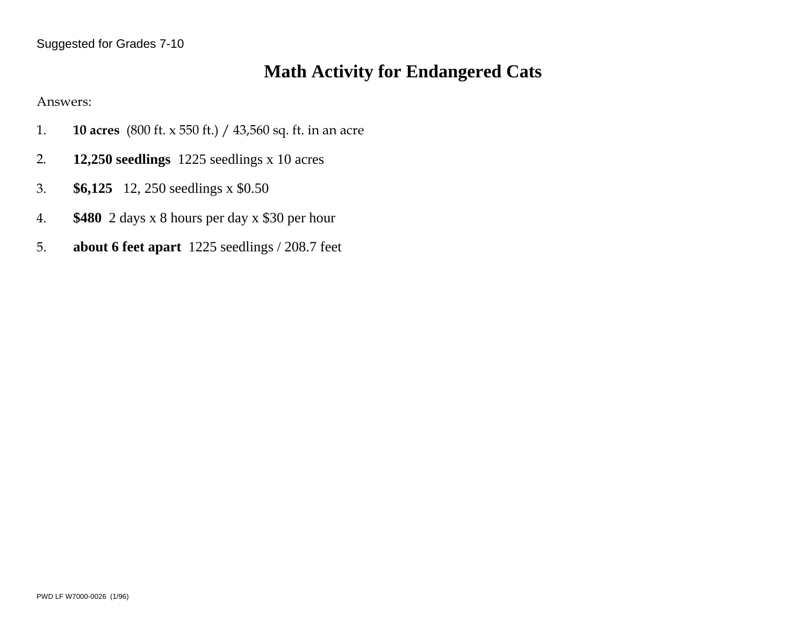# **Math Activity for Endangered Cats**

Answers:

- 1. **10 acres** (800 ft. x 550 ft.) / 43,560 sq. ft. in an acre
- 2. **12,250 seedlings** 1225 seedlings x 10 acres
- 3. **\$6,125** 12, 250 seedlings x \$0.50
- 4. **\$480** 2 days x 8 hours per day x \$30 per hour
- 5. **about 6 feet apart** 1225 seedlings / 208.7 feet